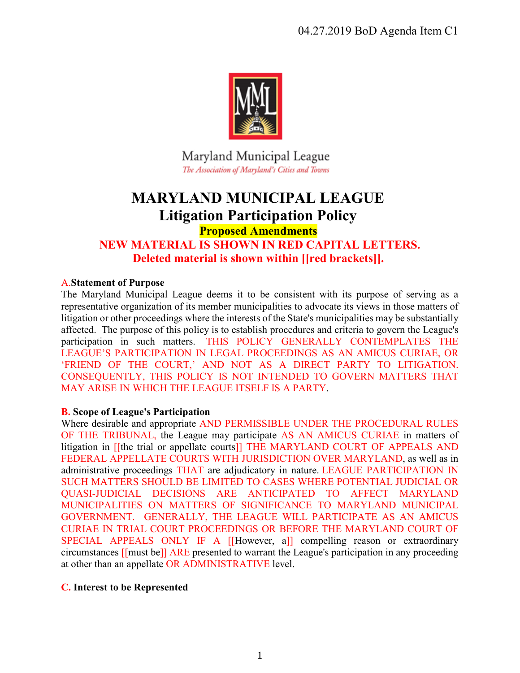

Maryland Municipal League The Association of Maryland's Cities and Towns

# **MARYLAND MUNICIPAL LEAGUE Litigation Participation Policy**

**Proposed Amendments**

# **NEW MATERIAL IS SHOWN IN RED CAPITAL LETTERS. Deleted material is shown within [[red brackets]].**

# A.**Statement of Purpose**

The Maryland Municipal League deems it to be consistent with its purpose of serving as a representative organization of its member municipalities to advocate its views in those matters of litigation or other proceedings where the interests of the State's municipalities may be substantially affected. The purpose of this policy is to establish procedures and criteria to govern the League's participation in such matters. THIS POLICY GENERALLY CONTEMPLATES THE LEAGUE'S PARTICIPATION IN LEGAL PROCEEDINGS AS AN AMICUS CURIAE, OR 'FRIEND OF THE COURT,' AND NOT AS A DIRECT PARTY TO LITIGATION. CONSEQUENTLY, THIS POLICY IS NOT INTENDED TO GOVERN MATTERS THAT MAY ARISE IN WHICH THE LEAGUE ITSELF IS A PARTY.

# **B. Scope of League's Participation**

Where desirable and appropriate AND PERMISSIBLE UNDER THE PROCEDURAL RULES OF THE TRIBUNAL, the League may participate AS AN AMICUS CURIAE in matters of litigation in [[the trial or appellate courts]] THE MARYLAND COURT OF APPEALS AND FEDERAL APPELLATE COURTS WITH JURISDICTION OVER MARYLAND, as well as in administrative proceedings THAT are adjudicatory in nature. LEAGUE PARTICIPATION IN SUCH MATTERS SHOULD BE LIMITED TO CASES WHERE POTENTIAL JUDICIAL OR QUASI-JUDICIAL DECISIONS ARE ANTICIPATED TO AFFECT MARYLAND MUNICIPALITIES ON MATTERS OF SIGNIFICANCE TO MARYLAND MUNICIPAL GOVERNMENT. GENERALLY, THE LEAGUE WILL PARTICIPATE AS AN AMICUS CURIAE IN TRIAL COURT PROCEEDINGS OR BEFORE THE MARYLAND COURT OF SPECIAL APPEALS ONLY IF A [[However, a]] compelling reason or extraordinary circumstances [[must be]] ARE presented to warrant the League's participation in any proceeding at other than an appellate OR ADMINISTRATIVE level.

# **C. Interest to be Represented**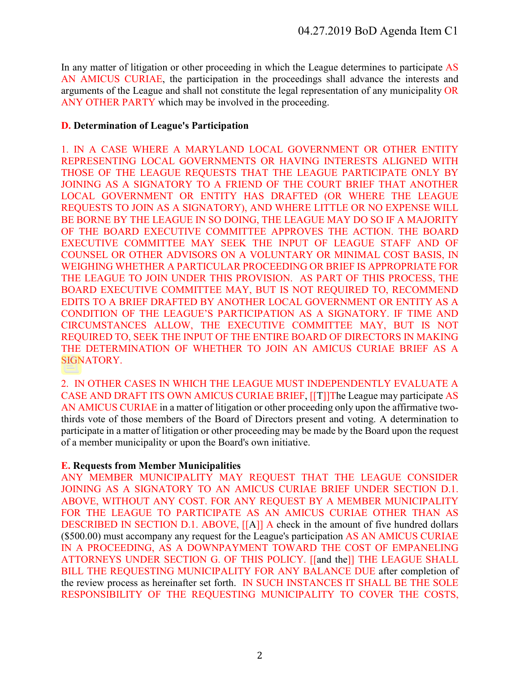In any matter of litigation or other proceeding in which the League determines to participate AS AN AMICUS CURIAE, the participation in the proceedings shall advance the interests and arguments of the League and shall not constitute the legal representation of any municipality OR ANY OTHER PARTY which may be involved in the proceeding.

#### **D. Determination of League's Participation**

1. IN A CASE WHERE A MARYLAND LOCAL GOVERNMENT OR OTHER ENTITY REPRESENTING LOCAL GOVERNMENTS OR HAVING INTERESTS ALIGNED WITH THOSE OF THE LEAGUE REQUESTS THAT THE LEAGUE PARTICIPATE ONLY BY JOINING AS A SIGNATORY TO A FRIEND OF THE COURT BRIEF THAT ANOTHER LOCAL GOVERNMENT OR ENTITY HAS DRAFTED (OR WHERE THE LEAGUE REQUESTS TO JOIN AS A SIGNATORY), AND WHERE LITTLE OR NO EXPENSE WILL BE BORNE BY THE LEAGUE IN SO DOING, THE LEAGUE MAY DO SO IF A MAJORITY OF THE BOARD EXECUTIVE COMMITTEE APPROVES THE ACTION. THE BOARD EXECUTIVE COMMITTEE MAY SEEK THE INPUT OF LEAGUE STAFF AND OF COUNSEL OR OTHER ADVISORS ON A VOLUNTARY OR MINIMAL COST BASIS, IN WEIGHING WHETHER A PARTICULAR PROCEEDING OR BRIEF IS APPROPRIATE FOR THE LEAGUE TO JOIN UNDER THIS PROVISION. AS PART OF THIS PROCESS, THE BOARD EXECUTIVE COMMITTEE MAY, BUT IS NOT REQUIRED TO, RECOMMEND EDITS TO A BRIEF DRAFTED BY ANOTHER LOCAL GOVERNMENT OR ENTITY AS A CONDITION OF THE LEAGUE'S PARTICIPATION AS A SIGNATORY. IF TIME AND CIRCUMSTANCES ALLOW, THE EXECUTIVE COMMITTEE MAY, BUT IS NOT REQUIRED TO, SEEK THE INPUT OF THE ENTIRE BOARD OF DIRECTORS IN MAKING THE DETERMINATION OF WHETHER TO JOIN AN AMICUS CURIAE BRIEF AS A SIGNATORY.

2. IN OTHER CASES IN WHICH THE LEAGUE MUST INDEPENDENTLY EVALUATE A CASE AND DRAFT ITS OWN AMICUS CURIAE BRIEF, [[T]]The League may participate AS AN AMICUS CURIAE in a matter of litigation or other proceeding only upon the affirmative twothirds vote of those members of the Board of Directors present and voting. A determination to participate in a matter of litigation or other proceeding may be made by the Board upon the request of a member municipality or upon the Board's own initiative.

# **E. Requests from Member Municipalities**

ANY MEMBER MUNICIPALITY MAY REQUEST THAT THE LEAGUE CONSIDER JOINING AS A SIGNATORY TO AN AMICUS CURIAE BRIEF UNDER SECTION D.1. ABOVE, WITHOUT ANY COST. FOR ANY REQUEST BY A MEMBER MUNICIPALITY FOR THE LEAGUE TO PARTICIPATE AS AN AMICUS CURIAE OTHER THAN AS DESCRIBED IN SECTION D.1. ABOVE, [[A]] A check in the amount of five hundred dollars (\$500.00) must accompany any request for the League's participation AS AN AMICUS CURIAE IN A PROCEEDING, AS A DOWNPAYMENT TOWARD THE COST OF EMPANELING ATTORNEYS UNDER SECTION G. OF THIS POLICY. [[and the]] THE LEAGUE SHALL BILL THE REQUESTING MUNICIPALITY FOR ANY BALANCE DUE after completion of the review process as hereinafter set forth. IN SUCH INSTANCES IT SHALL BE THE SOLE RESPONSIBILITY OF THE REQUESTING MUNICIPALITY TO COVER THE COSTS,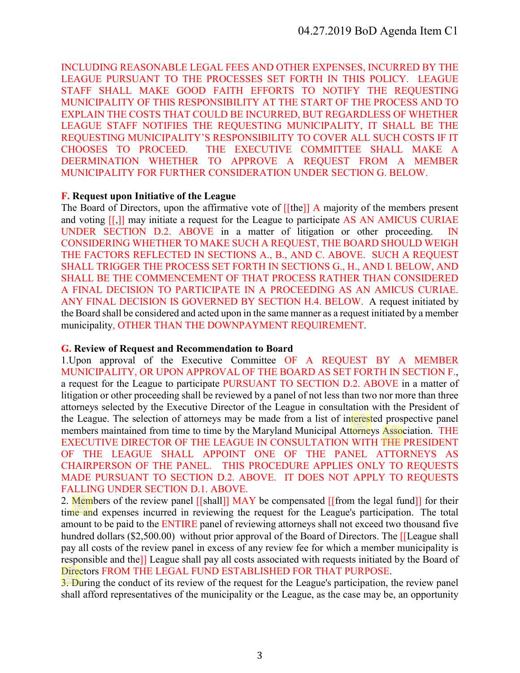INCLUDING REASONABLE LEGAL FEES AND OTHER EXPENSES, INCURRED BY THE LEAGUE PURSUANT TO THE PROCESSES SET FORTH IN THIS POLICY. LEAGUE STAFF SHALL MAKE GOOD FAITH EFFORTS TO NOTIFY THE REQUESTING MUNICIPALITY OF THIS RESPONSIBILITY AT THE START OF THE PROCESS AND TO EXPLAIN THE COSTS THAT COULD BE INCURRED, BUT REGARDLESS OF WHETHER LEAGUE STAFF NOTIFIES THE REQUESTING MUNICIPALITY, IT SHALL BE THE REQUESTING MUNICIPALITY'S RESPONSIBILITY TO COVER ALL SUCH COSTS IF IT CHOOSES TO PROCEED. THE EXECUTIVE COMMITTEE SHALL MAKE A DEERMINATION WHETHER TO APPROVE A REQUEST FROM A MEMBER MUNICIPALITY FOR FURTHER CONSIDERATION UNDER SECTION G. BELOW.

#### **F. Request upon Initiative of the League**

The Board of Directors, upon the affirmative vote of [[the]] A majority of the members present and voting [[,]] may initiate a request for the League to participate AS AN AMICUS CURIAE UNDER SECTION D.2. ABOVE in a matter of litigation or other proceeding. IN CONSIDERING WHETHER TO MAKE SUCH A REQUEST, THE BOARD SHOULD WEIGH THE FACTORS REFLECTED IN SECTIONS A., B., AND C. ABOVE. SUCH A REQUEST SHALL TRIGGER THE PROCESS SET FORTH IN SECTIONS G., H., AND I. BELOW, AND SHALL BE THE COMMENCEMENT OF THAT PROCESS RATHER THAN CONSIDERED A FINAL DECISION TO PARTICIPATE IN A PROCEEDING AS AN AMICUS CURIAE. ANY FINAL DECISION IS GOVERNED BY SECTION H.4. BELOW. A request initiated by the Board shall be considered and acted upon in the same manner as a request initiated by a member municipality, OTHER THAN THE DOWNPAYMENT REQUIREMENT.

#### **G. Review of Request and Recommendation to Board**

1.Upon approval of the Executive Committee OF A REQUEST BY A MEMBER MUNICIPALITY, OR UPON APPROVAL OF THE BOARD AS SET FORTH IN SECTION F., a request for the League to participate PURSUANT TO SECTION D.2. ABOVE in a matter of litigation or other proceeding shall be reviewed by a panel of not less than two nor more than three attorneys selected by the Executive Director of the League in consultation with the President of the League. The selection of attorneys may be made from a list of interested prospective panel members maintained from time to time by the Maryland Municipal Attorneys Association. THE EXECUTIVE DIRECTOR OF THE LEAGUE IN CONSULTATION WITH THE PRESIDENT OF THE LEAGUE SHALL APPOINT ONE OF THE PANEL ATTORNEYS AS CHAIRPERSON OF THE PANEL. THIS PROCEDURE APPLIES ONLY TO REQUESTS MADE PURSUANT TO SECTION D.2. ABOVE. IT DOES NOT APPLY TO REQUESTS FALLING UNDER SECTION D.1. ABOVE.

2. Members of the review panel [[shall]] MAY be compensated [[from the legal fund]] for their time and expenses incurred in reviewing the request for the League's participation. The total amount to be paid to the ENTIRE panel of reviewing attorneys shall not exceed two thousand five hundred dollars (\$2,500.00) without prior approval of the Board of Directors. The [[League shall pay all costs of the review panel in excess of any review fee for which a member municipality is responsible and the]] League shall pay all costs associated with requests initiated by the Board of Directors FROM THE LEGAL FUND ESTABLISHED FOR THAT PURPOSE.

3. During the conduct of its review of the request for the League's participation, the review panel shall afford representatives of the municipality or the League, as the case may be, an opportunity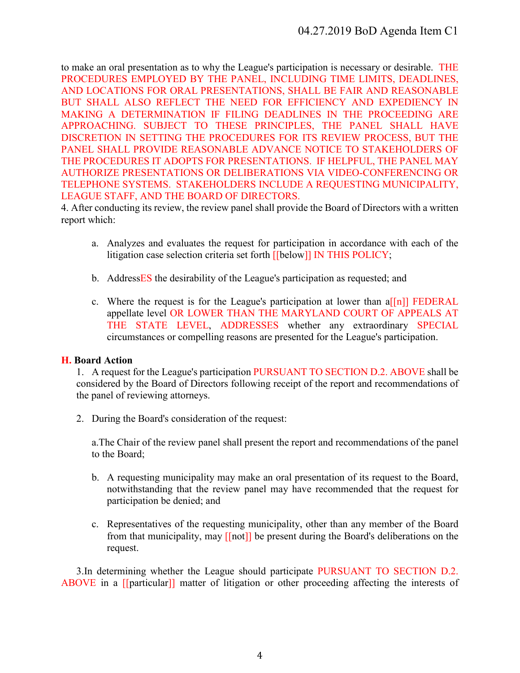to make an oral presentation as to why the League's participation is necessary or desirable. THE PROCEDURES EMPLOYED BY THE PANEL, INCLUDING TIME LIMITS, DEADLINES, AND LOCATIONS FOR ORAL PRESENTATIONS, SHALL BE FAIR AND REASONABLE BUT SHALL ALSO REFLECT THE NEED FOR EFFICIENCY AND EXPEDIENCY IN MAKING A DETERMINATION IF FILING DEADLINES IN THE PROCEEDING ARE APPROACHING. SUBJECT TO THESE PRINCIPLES, THE PANEL SHALL HAVE DISCRETION IN SETTING THE PROCEDURES FOR ITS REVIEW PROCESS, BUT THE PANEL SHALL PROVIDE REASONABLE ADVANCE NOTICE TO STAKEHOLDERS OF THE PROCEDURES IT ADOPTS FOR PRESENTATIONS. IF HELPFUL, THE PANEL MAY AUTHORIZE PRESENTATIONS OR DELIBERATIONS VIA VIDEO-CONFERENCING OR TELEPHONE SYSTEMS. STAKEHOLDERS INCLUDE A REQUESTING MUNICIPALITY, LEAGUE STAFF, AND THE BOARD OF DIRECTORS.

4. After conducting its review, the review panel shall provide the Board of Directors with a written report which:

- a. Analyzes and evaluates the request for participation in accordance with each of the litigation case selection criteria set forth [[below]] IN THIS POLICY;
- b. AddressES the desirability of the League's participation as requested; and
- c. Where the request is for the League's participation at lower than  $a[[n]]$  FEDERAL appellate level OR LOWER THAN THE MARYLAND COURT OF APPEALS AT THE STATE LEVEL, ADDRESSES whether any extraordinary SPECIAL circumstances or compelling reasons are presented for the League's participation.

# **H. Board Action**

1. A request for the League's participation PURSUANT TO SECTION D.2. ABOVE shall be considered by the Board of Directors following receipt of the report and recommendations of the panel of reviewing attorneys.

2. During the Board's consideration of the request:

a.The Chair of the review panel shall present the report and recommendations of the panel to the Board;

- b. A requesting municipality may make an oral presentation of its request to the Board, notwithstanding that the review panel may have recommended that the request for participation be denied; and
- c. Representatives of the requesting municipality, other than any member of the Board from that municipality, may [[not]] be present during the Board's deliberations on the request.

3.In determining whether the League should participate PURSUANT TO SECTION D.2. ABOVE in a [[particular]] matter of litigation or other proceeding affecting the interests of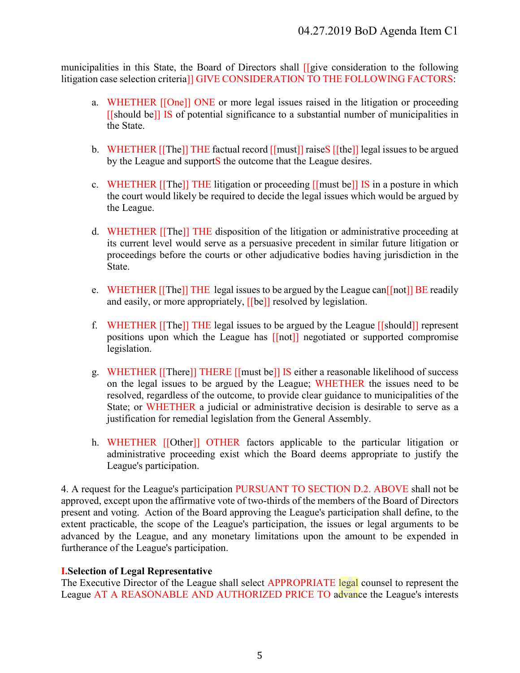municipalities in this State, the Board of Directors shall [[give consideration to the following litigation case selection criteria]] GIVE CONSIDERATION TO THE FOLLOWING FACTORS:

- a. WHETHER [[One]] ONE or more legal issues raised in the litigation or proceeding [[should be]] IS of potential significance to a substantial number of municipalities in the State.
- b. WHETHER [[The]] THE factual record [[must]] raiseS [[the]] legal issues to be argued by the League and supportS the outcome that the League desires.
- c. WHETHER [[The]] THE litigation or proceeding [[must be]] IS in a posture in which the court would likely be required to decide the legal issues which would be argued by the League.
- d. WHETHER [[The]] THE disposition of the litigation or administrative proceeding at its current level would serve as a persuasive precedent in similar future litigation or proceedings before the courts or other adjudicative bodies having jurisdiction in the State.
- e. WHETHER [[The]] THE legal issues to be argued by the League can<sup>[[not]]</sup> BE readily and easily, or more appropriately, [[be]] resolved by legislation.
- f. WHETHER [[The]] THE legal issues to be argued by the League [[should]] represent positions upon which the League has [[not]] negotiated or supported compromise legislation.
- g. WHETHER [[There]] THERE [[must be]] IS either a reasonable likelihood of success on the legal issues to be argued by the League; WHETHER the issues need to be resolved, regardless of the outcome, to provide clear guidance to municipalities of the State; or WHETHER a judicial or administrative decision is desirable to serve as a justification for remedial legislation from the General Assembly.
- h. WHETHER [[Other]] OTHER factors applicable to the particular litigation or administrative proceeding exist which the Board deems appropriate to justify the League's participation.

4. A request for the League's participation PURSUANT TO SECTION D.2. ABOVE shall not be approved, except upon the affirmative vote of two-thirds of the members of the Board of Directors present and voting. Action of the Board approving the League's participation shall define, to the extent practicable, the scope of the League's participation, the issues or legal arguments to be advanced by the League, and any monetary limitations upon the amount to be expended in furtherance of the League's participation.

# **I.Selection of Legal Representative**

The Executive Director of the League shall select APPROPRIATE legal counsel to represent the League AT A REASONABLE AND AUTHORIZED PRICE TO advance the League's interests